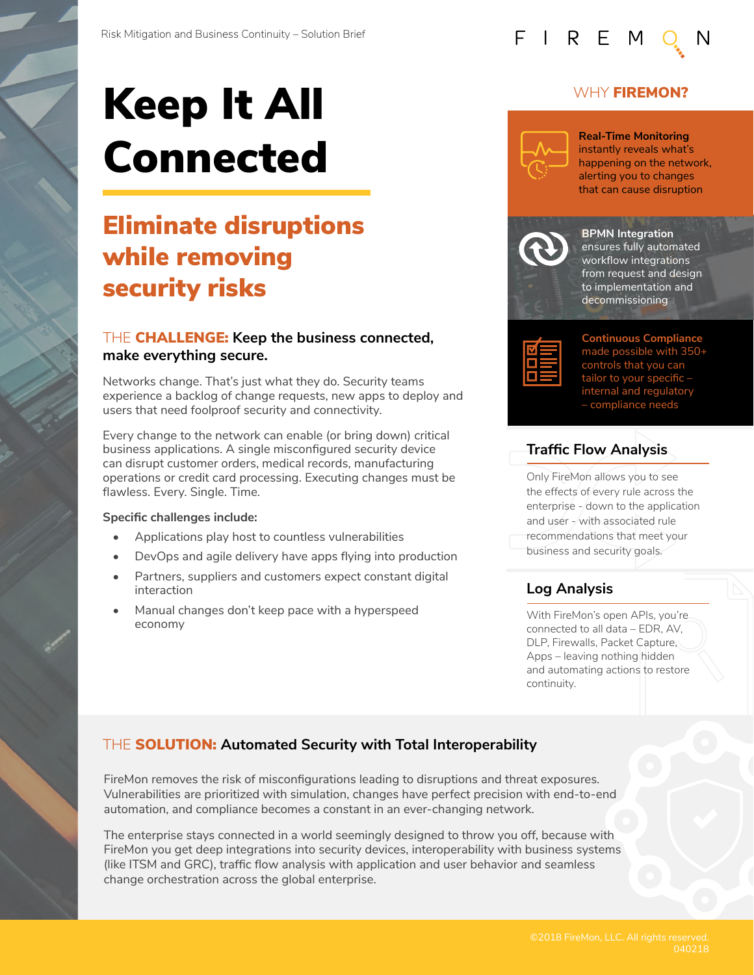# Keep It All Connected

# Eliminate disruptions while removing security risks

#### THE CHALLENGE: **Keep the business connected, make everything secure.**

Networks change. That's just what they do. Security teams experience a backlog of change requests, new apps to deploy and users that need foolproof security and connectivity.

Every change to the network can enable (or bring down) critical business applications. A single misconfigured security device can disrupt customer orders, medical records, manufacturing operations or credit card processing. Executing changes must be flawless. Every. Single. Time.

#### **Specific challenges include:**

- Applications play host to countless vulnerabilities
- DevOps and agile delivery have apps flying into production
- Partners, suppliers and customers expect constant digital interaction
- Manual changes don't keep pace with a hyperspeed economy

#### WHY **FIREMON?**



FIREM

**Real-Time Monitoring**  instantly reveals what's happening on the network, alerting you to changes that can cause disruption



**BPMN Integration**  ensures fully automated workflow integrations from request and design to implementation and decommissioning



**Continuous Compliance**  made possible with 350+ controls that you can tailor to your specific – internal and regulatory – compliance needs

## **Traffic Flow Analysis**

Only FireMon allows you to see the effects of every rule across the enterprise - down to the application and user - with associated rule recommendations that meet your business and security goals.

#### **Log Analysis**

With FireMon's open APIs, you're connected to all data – EDR, AV, DLP, Firewalls, Packet Capture, Apps – leaving nothing hidden and automating actions to restore continuity.

## THE SOLUTION: **Automated Security with Total Interoperability**

FireMon removes the risk of misconfigurations leading to disruptions and threat exposures. Vulnerabilities are prioritized with simulation, changes have perfect precision with end-to-end automation, and compliance becomes a constant in an ever-changing network.

The enterprise stays connected in a world seemingly designed to throw you off, because with FireMon you get deep integrations into security devices, interoperability with business systems (like ITSM and GRC), traffic flow analysis with application and user behavior and seamless change orchestration across the global enterprise.